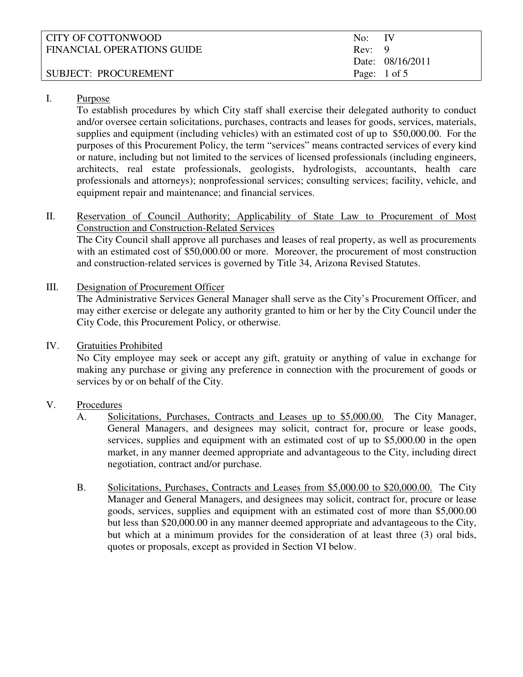| CITY OF COTTONWOOD         | No: IV |                         |
|----------------------------|--------|-------------------------|
| FINANCIAL OPERATIONS GUIDE | Rev: 9 |                         |
|                            |        | Date: 08/16/2011        |
| SUBJECT: PROCUREMENT       |        | Page: $1 \text{ of } 5$ |

#### I. Purpose

To establish procedures by which City staff shall exercise their delegated authority to conduct and/or oversee certain solicitations, purchases, contracts and leases for goods, services, materials, supplies and equipment (including vehicles) with an estimated cost of up to \$50,000.00. For the purposes of this Procurement Policy, the term "services" means contracted services of every kind or nature, including but not limited to the services of licensed professionals (including engineers, architects, real estate professionals, geologists, hydrologists, accountants, health care professionals and attorneys); nonprofessional services; consulting services; facility, vehicle, and equipment repair and maintenance; and financial services.

II. Reservation of Council Authority; Applicability of State Law to Procurement of Most Construction and Construction-Related Services

The City Council shall approve all purchases and leases of real property, as well as procurements with an estimated cost of \$50,000.00 or more. Moreover, the procurement of most construction and construction-related services is governed by Title 34, Arizona Revised Statutes.

III. Designation of Procurement Officer

The Administrative Services General Manager shall serve as the City's Procurement Officer, and may either exercise or delegate any authority granted to him or her by the City Council under the City Code, this Procurement Policy, or otherwise.

IV. Gratuities Prohibited

No City employee may seek or accept any gift, gratuity or anything of value in exchange for making any purchase or giving any preference in connection with the procurement of goods or services by or on behalf of the City.

### V. Procedures

- A. Solicitations, Purchases, Contracts and Leases up to \$5,000.00. The City Manager, General Managers, and designees may solicit, contract for, procure or lease goods, services, supplies and equipment with an estimated cost of up to \$5,000.00 in the open market, in any manner deemed appropriate and advantageous to the City, including direct negotiation, contract and/or purchase.
- B. Solicitations, Purchases, Contracts and Leases from \$5,000.00 to \$20,000.00. The City Manager and General Managers, and designees may solicit, contract for, procure or lease goods, services, supplies and equipment with an estimated cost of more than \$5,000.00 but less than \$20,000.00 in any manner deemed appropriate and advantageous to the City, but which at a minimum provides for the consideration of at least three (3) oral bids, quotes or proposals, except as provided in Section VI below.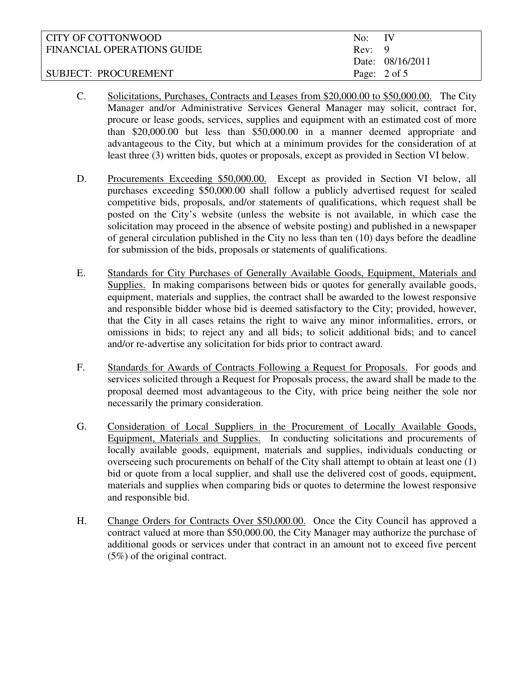| CITY OF COTTONWOOD         | $No:$ IV |                         |
|----------------------------|----------|-------------------------|
| FINANCIAL OPERATIONS GUIDE | Rev: 9   |                         |
|                            |          | Date: 08/16/2011        |
| SUBJECT: PROCUREMENT       |          | Page: $2 \text{ of } 5$ |

- C. Solicitations, Purchases, Contracts and Leases from \$20,000.00 to \$50,000.00. The City Manager and/or Administrative Services General Manager may solicit, contract for, procure or lease goods, services, supplies and equipment with an estimated cost of more than \$20,000.00 but less than \$50,000.00 in a manner deemed appropriate and advantageous to the City, but which at a minimum provides for the consideration of at least three (3) written bids, quotes or proposals, except as provided in Section VI below.
- D. Procurements Exceeding \$50,000.00. Except as provided in Section VI below, all purchases exceeding \$50,000.00 shall follow a publicly advertised request for sealed competitive bids, proposals, and/or statements of qualifications, which request shall be posted on the City's website (unless the website is not available, in which case the solicitation may proceed in the absence of website posting) and published in a newspaper of general circulation published in the City no less than ten (10) days before the deadline for submission of the bids, proposals or statements of qualifications.
- E. Standards for City Purchases of Generally Available Goods, Equipment, Materials and Supplies. In making comparisons between bids or quotes for generally available goods, equipment, materials and supplies, the contract shall be awarded to the lowest responsive and responsible bidder whose bid is deemed satisfactory to the City; provided, however, that the City in all cases retains the right to waive any minor informalities, errors, or omissions in bids; to reject any and all bids; to solicit additional bids; and to cancel and/or re-advertise any solicitation for bids prior to contract award.
- F. Standards for Awards of Contracts Following a Request for Proposals. For goods and services solicited through a Request for Proposals process, the award shall be made to the proposal deemed most advantageous to the City, with price being neither the sole nor necessarily the primary consideration.
- G. Consideration of Local Suppliers in the Procurement of Locally Available Goods, Equipment, Materials and Supplies. In conducting solicitations and procurements of locally available goods, equipment, materials and supplies, individuals conducting or overseeing such procurements on behalf of the City shall attempt to obtain at least one (1) bid or quote from a local supplier, and shall use the delivered cost of goods, equipment, materials and supplies when comparing bids or quotes to determine the lowest responsive and responsible bid.
- H. Change Orders for Contracts Over \$50,000.00. Once the City Council has approved a contract valued at more than \$50,000.00, the City Manager may authorize the purchase of additional goods or services under that contract in an amount not to exceed five percent (5%) of the original contract.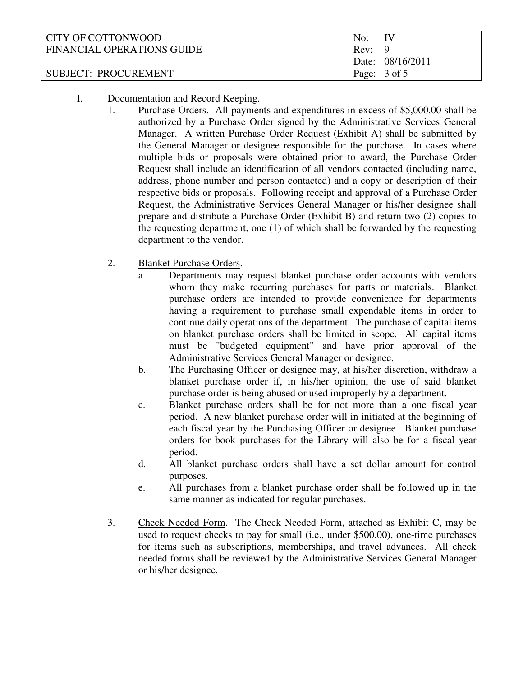| CITY OF COTTONWOOD         | No: IV |                         |
|----------------------------|--------|-------------------------|
| FINANCIAL OPERATIONS GUIDE | Rev: 9 |                         |
|                            |        | Date: 08/16/2011        |
| SUBJECT: PROCUREMENT       |        | Page: $3 \text{ of } 5$ |

#### I. Documentation and Record Keeping.

- 1. Purchase Orders. All payments and expenditures in excess of \$5,000.00 shall be authorized by a Purchase Order signed by the Administrative Services General Manager. A written Purchase Order Request (Exhibit A) shall be submitted by the General Manager or designee responsible for the purchase. In cases where multiple bids or proposals were obtained prior to award, the Purchase Order Request shall include an identification of all vendors contacted (including name, address, phone number and person contacted) and a copy or description of their respective bids or proposals. Following receipt and approval of a Purchase Order Request, the Administrative Services General Manager or his/her designee shall prepare and distribute a Purchase Order (Exhibit B) and return two (2) copies to the requesting department, one (1) of which shall be forwarded by the requesting department to the vendor.
- 2. Blanket Purchase Orders.
	- a. Departments may request blanket purchase order accounts with vendors whom they make recurring purchases for parts or materials. Blanket purchase orders are intended to provide convenience for departments having a requirement to purchase small expendable items in order to continue daily operations of the department. The purchase of capital items on blanket purchase orders shall be limited in scope. All capital items must be "budgeted equipment" and have prior approval of the Administrative Services General Manager or designee.
	- b. The Purchasing Officer or designee may, at his/her discretion, withdraw a blanket purchase order if, in his/her opinion, the use of said blanket purchase order is being abused or used improperly by a department.
	- c. Blanket purchase orders shall be for not more than a one fiscal year period. A new blanket purchase order will in initiated at the beginning of each fiscal year by the Purchasing Officer or designee. Blanket purchase orders for book purchases for the Library will also be for a fiscal year period.
	- d. All blanket purchase orders shall have a set dollar amount for control purposes.
	- e. All purchases from a blanket purchase order shall be followed up in the same manner as indicated for regular purchases.
- 3. Check Needed Form. The Check Needed Form, attached as Exhibit C, may be used to request checks to pay for small (i.e., under \$500.00), one-time purchases for items such as subscriptions, memberships, and travel advances. All check needed forms shall be reviewed by the Administrative Services General Manager or his/her designee.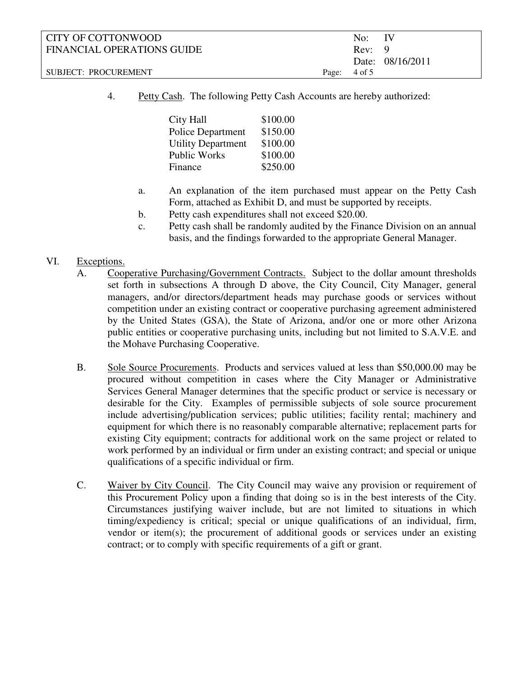| CITY OF COTTONWOOD         |                         | No: IV |                  |
|----------------------------|-------------------------|--------|------------------|
| FINANCIAL OPERATIONS GUIDE |                         | Rev: 9 |                  |
|                            |                         |        | Date: 08/16/2011 |
| SUBJECT: PROCUREMENT       | Page: $4 \text{ of } 5$ |        |                  |

4. Petty Cash. The following Petty Cash Accounts are hereby authorized:

| <b>City Hall</b>          | \$100.00 |
|---------------------------|----------|
| Police Department         | \$150.00 |
| <b>Utility Department</b> | \$100.00 |
| Public Works              | \$100.00 |
| Finance                   | \$250.00 |

- a. An explanation of the item purchased must appear on the Petty Cash Form, attached as Exhibit D, and must be supported by receipts.
- b. Petty cash expenditures shall not exceed \$20.00.
- c. Petty cash shall be randomly audited by the Finance Division on an annual basis, and the findings forwarded to the appropriate General Manager.

#### VI. Exceptions.

- A. Cooperative Purchasing/Government Contracts. Subject to the dollar amount thresholds set forth in subsections A through D above, the City Council, City Manager, general managers, and/or directors/department heads may purchase goods or services without competition under an existing contract or cooperative purchasing agreement administered by the United States (GSA), the State of Arizona, and/or one or more other Arizona public entities or cooperative purchasing units, including but not limited to S.A.V.E. and the Mohave Purchasing Cooperative.
- B. Sole Source Procurements. Products and services valued at less than \$50,000.00 may be procured without competition in cases where the City Manager or Administrative Services General Manager determines that the specific product or service is necessary or desirable for the City. Examples of permissible subjects of sole source procurement include advertising/publication services; public utilities; facility rental; machinery and equipment for which there is no reasonably comparable alternative; replacement parts for existing City equipment; contracts for additional work on the same project or related to work performed by an individual or firm under an existing contract; and special or unique qualifications of a specific individual or firm.
- C. Waiver by City Council. The City Council may waive any provision or requirement of this Procurement Policy upon a finding that doing so is in the best interests of the City. Circumstances justifying waiver include, but are not limited to situations in which timing/expediency is critical; special or unique qualifications of an individual, firm, vendor or item(s); the procurement of additional goods or services under an existing contract; or to comply with specific requirements of a gift or grant.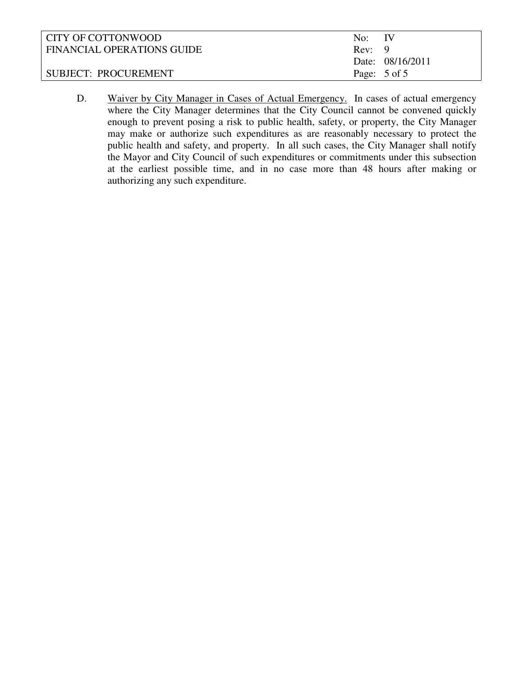| CITY OF COTTONWOOD         | No: IV       |                  |
|----------------------------|--------------|------------------|
| FINANCIAL OPERATIONS GUIDE | Rev: 9       |                  |
|                            |              | Date: 08/16/2011 |
| SUBJECT: PROCUREMENT       | Page: 5 of 5 |                  |

D. Waiver by City Manager in Cases of Actual Emergency. In cases of actual emergency where the City Manager determines that the City Council cannot be convened quickly enough to prevent posing a risk to public health, safety, or property, the City Manager may make or authorize such expenditures as are reasonably necessary to protect the public health and safety, and property. In all such cases, the City Manager shall notify the Mayor and City Council of such expenditures or commitments under this subsection at the earliest possible time, and in no case more than 48 hours after making or authorizing any such expenditure.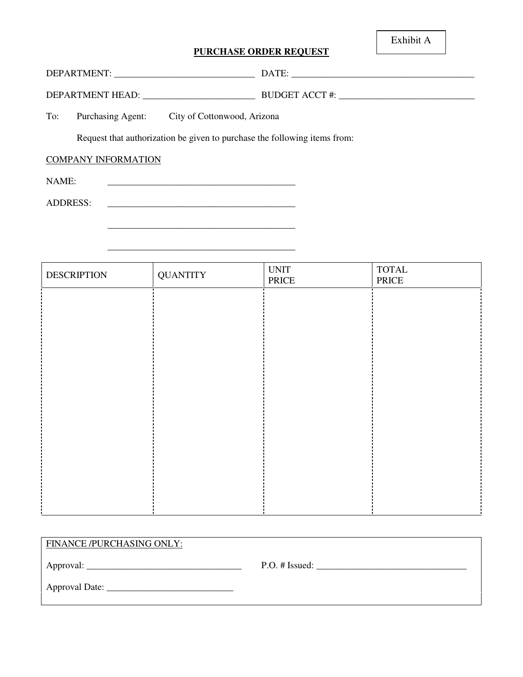#### **PURCHASE ORDER REQUEST**

Exhibit A

| DEPARTMENT:         | DATE:                 |
|---------------------|-----------------------|
| DEPARTMENT HEAD:    | <b>BUDGET ACCT #:</b> |
| $\sim$<br>____<br>. |                       |

To: Purchasing Agent: City of Cottonwood, Arizona

Request that authorization be given to purchase the following items from:

\_\_\_\_\_\_\_\_\_\_\_\_\_\_\_\_\_\_\_\_\_\_\_\_\_\_\_\_\_\_\_\_\_\_\_\_\_\_\_\_

# COMPANY INFORMATION

NAME: \_\_\_\_\_\_\_\_\_\_\_\_\_\_\_\_\_\_\_\_\_\_\_\_\_\_\_\_\_\_\_\_\_\_\_\_\_\_\_\_

ADDRESS:

 $\overline{\phantom{a}}$  ,  $\overline{\phantom{a}}$  ,  $\overline{\phantom{a}}$  ,  $\overline{\phantom{a}}$  ,  $\overline{\phantom{a}}$  ,  $\overline{\phantom{a}}$  ,  $\overline{\phantom{a}}$  ,  $\overline{\phantom{a}}$  ,  $\overline{\phantom{a}}$  ,  $\overline{\phantom{a}}$  ,  $\overline{\phantom{a}}$  ,  $\overline{\phantom{a}}$  ,  $\overline{\phantom{a}}$  ,  $\overline{\phantom{a}}$  ,  $\overline{\phantom{a}}$  ,  $\overline{\phantom{a}}$ 

| <b>DESCRIPTION</b> | <b>QUANTITY</b> | <b>UNIT</b><br>PRICE | $\operatorname{TOTAL}$<br>PRICE |
|--------------------|-----------------|----------------------|---------------------------------|
|                    |                 |                      |                                 |
|                    |                 |                      |                                 |
|                    |                 |                      |                                 |
|                    |                 |                      |                                 |
|                    |                 |                      |                                 |
|                    |                 |                      |                                 |
|                    |                 |                      |                                 |
|                    |                 |                      |                                 |
|                    |                 |                      |                                 |
|                    |                 |                      |                                 |

| FINANCE/PURCHASING ONLY: |                |
|--------------------------|----------------|
|                          | P.O. # Issued: |
|                          |                |
|                          |                |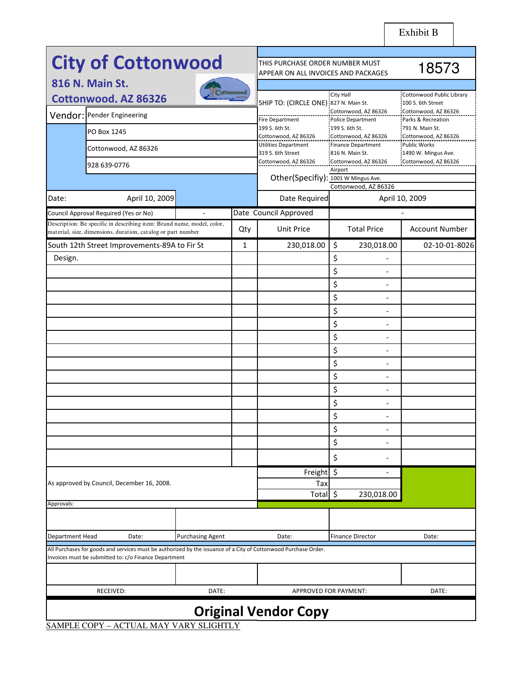|                 | <b>City of Cottonwood</b>                                                                                                                                                |                         |                  | THIS PURCHASE ORDER NUMBER MUST<br>APPEAR ON ALL INVOICES AND PACKAGES | 18573                                        |                                            |
|-----------------|--------------------------------------------------------------------------------------------------------------------------------------------------------------------------|-------------------------|------------------|------------------------------------------------------------------------|----------------------------------------------|--------------------------------------------|
|                 | 816 N. Main St.                                                                                                                                                          |                         |                  |                                                                        |                                              |                                            |
|                 | <b>Cottonwood. AZ 86326</b>                                                                                                                                              |                         | <b>ottomwood</b> |                                                                        | City Hall                                    | Cottonwood Public Library                  |
|                 | Vendor: Pender Engineering                                                                                                                                               |                         |                  | SHIP TO: (CIRCLE ONE):827 N. Main St.                                  | Cottonwood, AZ 86326                         | :100 S. 6th Street<br>Cottonwood, AZ 86326 |
|                 |                                                                                                                                                                          |                         |                  | <b>Fire Department</b><br>199 S. 6th St.                               | Police Department<br>199 S. 6th St.          | Parks & Recreation<br>791 N. Main St.      |
|                 | PO Box 1245                                                                                                                                                              |                         |                  | Cottonwood, AZ 86326<br>Utilities Department                           | Cottonwood, AZ 86326<br>Finance Department   | Cottonwood, AZ 86326<br>Public Works       |
|                 | Cottonwood, AZ 86326                                                                                                                                                     |                         |                  | 319 S. 6th Street                                                      | 816 N. Main St.                              | 1490 W. Mingus Ave.                        |
|                 | 928 639-0776                                                                                                                                                             |                         |                  | Cottonwood, AZ 86326                                                   | Cottonwood, AZ 86326<br>Airport              | Cottonwood, AZ 86326                       |
|                 |                                                                                                                                                                          |                         |                  | Other(Specifiy): 1001 W Mingus Ave.                                    | Cottonwood, AZ 86326                         |                                            |
| Date:           | April 10, 2009                                                                                                                                                           |                         |                  | Date Required                                                          |                                              | April 10, 2009                             |
|                 | Council Approval Required (Yes or No)                                                                                                                                    | $\overline{a}$          |                  | Date Council Approved                                                  |                                              |                                            |
|                 | Description: Be specific in describing item: Brand name, model, color,<br>material, size, dimensions, duration, catalog or part number                                   |                         | Qty              | <b>Unit Price</b>                                                      | <b>Total Price</b>                           | <b>Account Number</b>                      |
|                 | South 12th Street Improvements-89A to Fir St                                                                                                                             |                         | $\mathbf{1}$     | 230,018.00                                                             | \$<br>230,018.00                             | 02-10-01-8026                              |
| Design.         |                                                                                                                                                                          |                         |                  |                                                                        | \$<br>$\overline{a}$                         |                                            |
|                 |                                                                                                                                                                          |                         |                  |                                                                        | \$<br>$\overline{a}$                         |                                            |
|                 |                                                                                                                                                                          |                         |                  |                                                                        | \$<br>$\overline{a}$                         |                                            |
|                 |                                                                                                                                                                          |                         |                  |                                                                        | \$<br>$\overline{\phantom{a}}$               |                                            |
|                 |                                                                                                                                                                          |                         |                  |                                                                        | \$<br>$\overline{\phantom{a}}$               |                                            |
|                 |                                                                                                                                                                          |                         |                  |                                                                        | \$<br>$\overline{a}$<br>\$<br>$\overline{a}$ |                                            |
|                 |                                                                                                                                                                          |                         |                  |                                                                        | \$<br>$\overline{\phantom{a}}$               |                                            |
|                 |                                                                                                                                                                          |                         |                  |                                                                        | \$<br>$\overline{a}$                         |                                            |
|                 |                                                                                                                                                                          |                         |                  |                                                                        | \$<br>$\overline{a}$                         |                                            |
|                 |                                                                                                                                                                          |                         |                  |                                                                        | \$<br>$\overline{\phantom{a}}$               |                                            |
|                 |                                                                                                                                                                          |                         |                  |                                                                        | \$<br>$\overline{\phantom{a}}$               |                                            |
|                 |                                                                                                                                                                          |                         |                  |                                                                        | \$<br>$\overline{a}$                         |                                            |
|                 |                                                                                                                                                                          |                         |                  |                                                                        | \$                                           |                                            |
|                 |                                                                                                                                                                          |                         |                  |                                                                        | \$<br>$\overline{a}$                         |                                            |
|                 |                                                                                                                                                                          |                         |                  |                                                                        | \$<br>$\overline{\phantom{a}}$               |                                            |
|                 |                                                                                                                                                                          |                         |                  | Freight                                                                | \$<br>$\qquad \qquad -$                      |                                            |
|                 | As approved by Council, December 16, 2008.                                                                                                                               |                         |                  | Тах<br>Total \$                                                        | 230,018.00                                   |                                            |
| Approvals:      |                                                                                                                                                                          |                         |                  |                                                                        |                                              |                                            |
|                 |                                                                                                                                                                          |                         |                  |                                                                        |                                              |                                            |
| Department Head | Date:                                                                                                                                                                    | <b>Purchasing Agent</b> |                  | Date:                                                                  | <b>Finance Director</b>                      | Date:                                      |
|                 | All Purchases for goods and services must be authorized by the issuance of a City of Cottonwood Purchase Order.<br>Invoices must be submitted to: c/o Finance Department |                         |                  |                                                                        |                                              |                                            |
|                 |                                                                                                                                                                          |                         |                  |                                                                        |                                              |                                            |
|                 | RECEIVED:                                                                                                                                                                | DATE:                   |                  |                                                                        | APPROVED FOR PAYMENT:                        | DATE:                                      |
|                 |                                                                                                                                                                          |                         |                  | <b>Original Vendor Copy</b>                                            |                                              |                                            |

SAMPLE COPY – ACTUAL MAY VARY SLIGHTLY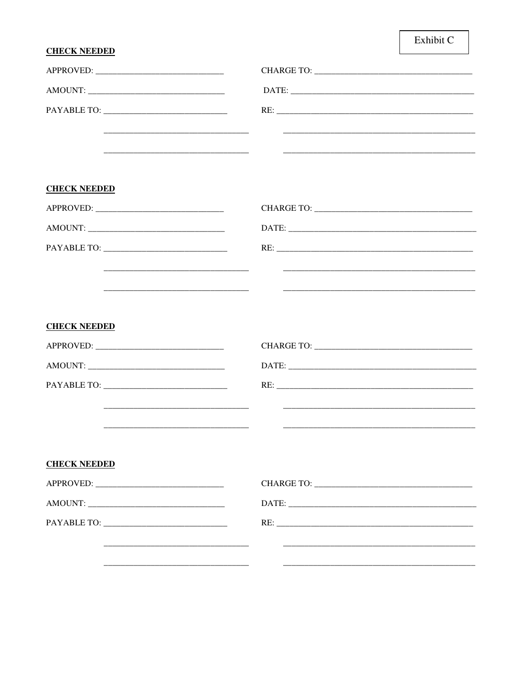## Exhibit C

#### **CHECK NEEDED**

| <b>CHECK NEEDED</b>                                                                                                  |  |
|----------------------------------------------------------------------------------------------------------------------|--|
|                                                                                                                      |  |
|                                                                                                                      |  |
|                                                                                                                      |  |
|                                                                                                                      |  |
| <u> 1980 - Jan Barnett, fransk kongresu og den forske politiker og den forske politiker og den forske politiker</u>  |  |
| <b>CHECK NEEDED</b>                                                                                                  |  |
|                                                                                                                      |  |
|                                                                                                                      |  |
|                                                                                                                      |  |
|                                                                                                                      |  |
|                                                                                                                      |  |
| <b>CHECK NEEDED</b>                                                                                                  |  |
|                                                                                                                      |  |
|                                                                                                                      |  |
|                                                                                                                      |  |
| <u> 1989 - Johann John Stone, markin amerikan basar dan berkembang di banyak di banyak di banyak di banyak di ba</u> |  |